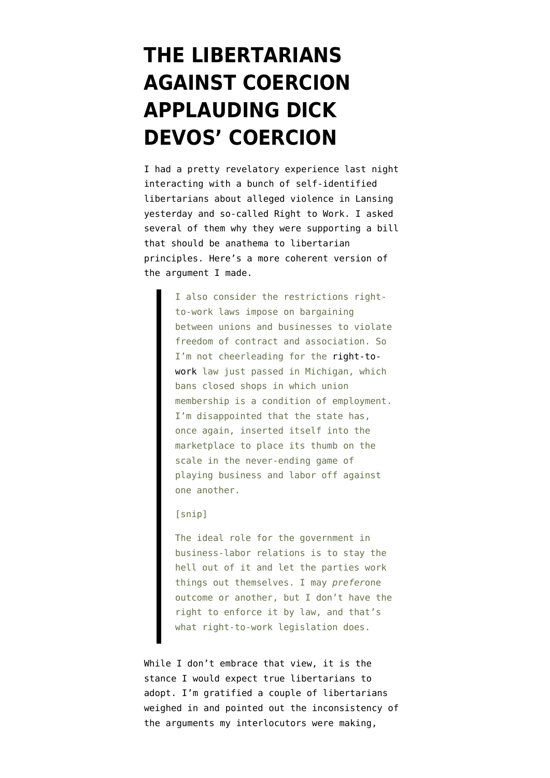## **[THE LIBERTARIANS](https://www.emptywheel.net/2012/12/12/the-libertarians-against-coercion-applauding-dick-devos-coercion/) [AGAINST COERCION](https://www.emptywheel.net/2012/12/12/the-libertarians-against-coercion-applauding-dick-devos-coercion/) [APPLAUDING DICK](https://www.emptywheel.net/2012/12/12/the-libertarians-against-coercion-applauding-dick-devos-coercion/) [DEVOS' COERCION](https://www.emptywheel.net/2012/12/12/the-libertarians-against-coercion-applauding-dick-devos-coercion/)**

I had a pretty revelatory experience last night interacting with a bunch of self-identified libertarians about alleged violence in Lansing yesterday and so-called Right to Work. I asked several of them why they were supporting a bill that should be anathema to libertarian principles. Here's a more [coherent version of](http://reason.com/blog/2012/12/12/when-right-to-work-is-wrong-and-un-liber) [the argument](http://reason.com/blog/2012/12/12/when-right-to-work-is-wrong-and-un-liber) I made.

> I also consider the restrictions rightto-work laws impose on bargaining between unions and businesses to violate freedom of contract and association. So I'm not cheerleading for the [right-to](http://en.wikipedia.org/wiki/Right-to-work_law)[work](http://en.wikipedia.org/wiki/Right-to-work_law) law just passed in Michigan, which bans closed shops in which union membership is a condition of employment. I'm disappointed that the state has, once again, inserted itself into the marketplace to place its thumb on the scale in the never-ending game of playing business and labor off against one another.

## [snip]

The ideal role for the government in business-labor relations is to stay the hell out of it and let the parties work things out themselves. I may *prefer*one outcome or another, but I don't have the right to enforce it by law, and that's what right-to-work legislation does.

While I don't embrace that view, it is the stance I would expect true libertarians to adopt. I'm gratified a couple of libertarians weighed in and pointed out the inconsistency of the arguments my interlocutors were making,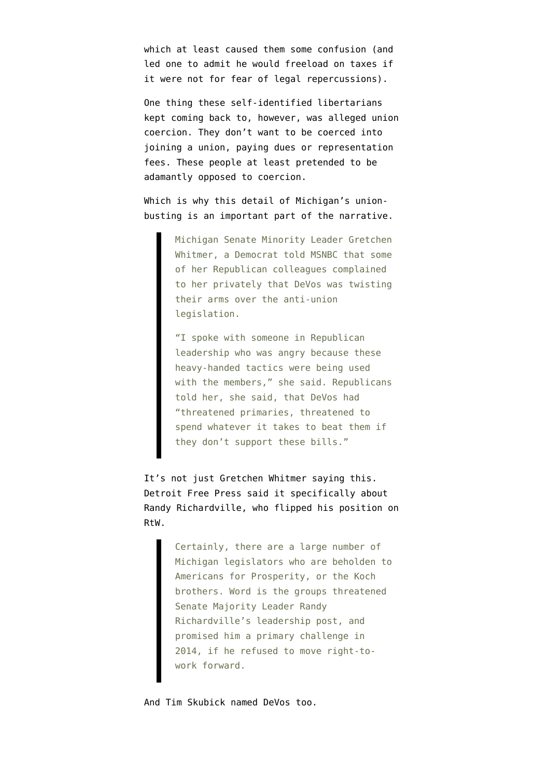which at least caused them some confusion (and led one to admit he would freeload on taxes if it were not for fear of legal repercussions).

One thing these self-identified libertarians kept coming back to, however, was alleged union coercion. They don't want to be coerced into joining a union, paying dues or representation fees. These people at least pretended to be adamantly opposed to coercion.

Which is why [this detail](http://tv.msnbc.com/2012/12/12/koch-alec-pushed-michigan-right-to-work-laws/) of Michigan's unionbusting is an important part of the narrative.

> Michigan Senate Minority Leader Gretchen Whitmer, a Democrat told MSNBC that some of her Republican colleagues complained to her privately that DeVos was twisting their arms over the anti-union legislation.

> "I spoke with someone in Republican leadership who was angry because these heavy-handed tactics were being used with the members," she said. Republicans told her, she said, that DeVos had "threatened primaries, threatened to spend whatever it takes to beat them if they don't support these bills."

It's not just Gretchen Whitmer saying this. Detroit Free Press [said it specifically](http://www.freep.com/article/20121211/OPINION01/312110048/Editorial-Drinking-the-Kochs-Kool-Aid?odyssey=nav%7Chead) about Randy Richardville, who flipped his position on RtW.

> Certainly, there are a large number of Michigan legislators who are beholden to Americans for Prosperity, or the Koch brothers. Word is the groups threatened Senate Majority Leader Randy Richardville's leadership post, and promised him a primary challenge in 2014, if he refused to move right-towork forward.

And Tim Skubick [named DeVos](http://www.mlive.com/politics/index.ssf/2012/12/tim_skubick_didnt_dick_devos_o.html) too.